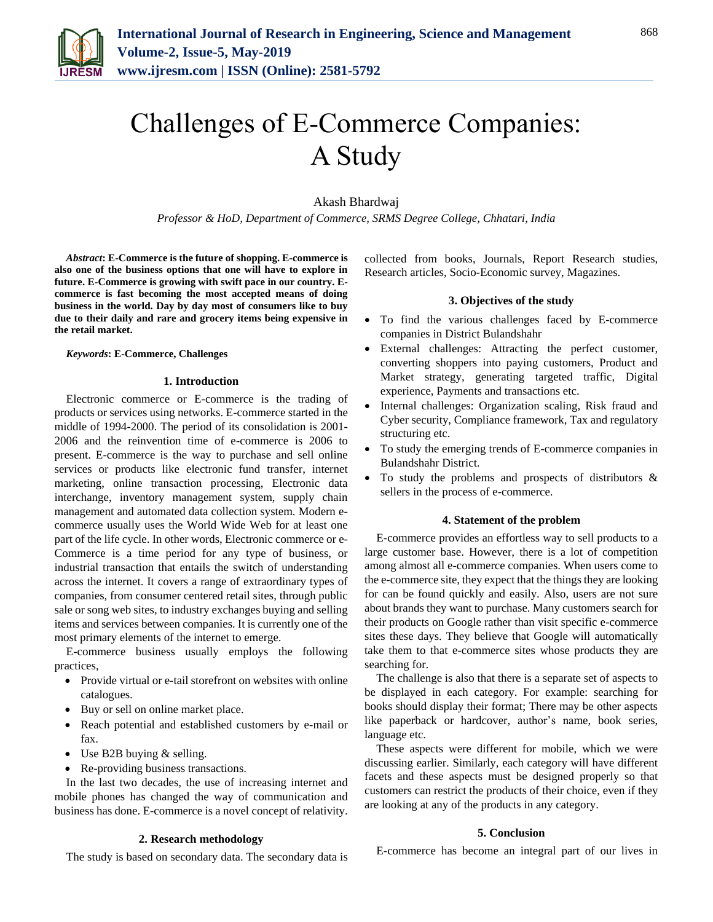

# Challenges of E-Commerce Companies: A Study

Akash Bhardwaj

*Professor & HoD, Department of Commerce, SRMS Degree College, Chhatari, India*

*Abstract***: E-Commerce is the future of shopping. E-commerce is also one of the business options that one will have to explore in future. E-Commerce is growing with swift pace in our country. Ecommerce is fast becoming the most accepted means of doing business in the world. Day by day most of consumers like to buy due to their daily and rare and grocery items being expensive in the retail market.**

#### *Keywords***: E-Commerce, Challenges**

## **1. Introduction**

Electronic commerce or E-commerce is the trading of products or services using networks. E-commerce started in the middle of 1994-2000. The period of its consolidation is 2001- 2006 and the reinvention time of e-commerce is 2006 to present. E-commerce is the way to purchase and sell online services or products like electronic fund transfer, internet marketing, online transaction processing, Electronic data interchange, inventory management system, supply chain management and automated data collection system. Modern ecommerce usually uses the World Wide Web for at least one part of the life cycle. In other words, Electronic commerce or e-Commerce is a time period for any type of business, or industrial transaction that entails the switch of understanding across the internet. It covers a range of extraordinary types of companies, from consumer centered retail sites, through public sale or song web sites, to industry exchanges buying and selling items and services between companies. It is currently one of the most primary elements of the internet to emerge.

E-commerce business usually employs the following practices,

- Provide virtual or e-tail storefront on websites with online catalogues.
- Buy or sell on online market place.
- Reach potential and established customers by e-mail or fax.
- Use B2B buying & selling.
- Re-providing business transactions.

In the last two decades, the use of increasing internet and mobile phones has changed the way of communication and business has done. E-commerce is a novel concept of relativity.

## **2. Research methodology**

The study is based on secondary data. The secondary data is

collected from books, Journals, Report Research studies, Research articles, Socio-Economic survey, Magazines.

## **3. Objectives of the study**

- To find the various challenges faced by E-commerce companies in District Bulandshahr
- External challenges: Attracting the perfect customer, converting shoppers into paying customers, Product and Market strategy, generating targeted traffic, Digital experience, Payments and transactions etc.
- Internal challenges: Organization scaling, Risk fraud and Cyber security, Compliance framework, Tax and regulatory structuring etc.
- To study the emerging trends of E-commerce companies in Bulandshahr District.
- To study the problems and prospects of distributors & sellers in the process of e-commerce.

#### **4. Statement of the problem**

E-commerce provides an effortless way to sell products to a large customer base. However, there is a lot of competition among almost all e-commerce companies. When users come to the e-commerce site, they expect that the things they are looking for can be found quickly and easily. Also, users are not sure about brands they want to purchase. Many customers search for their products on Google rather than visit specific e-commerce sites these days. They believe that Google will automatically take them to that e-commerce sites whose products they are searching for.

The challenge is also that there is a separate set of aspects to be displayed in each category. For example: searching for books should display their format; There may be other aspects like paperback or hardcover, author's name, book series, language etc.

These aspects were different for mobile, which we were discussing earlier. Similarly, each category will have different facets and these aspects must be designed properly so that customers can restrict the products of their choice, even if they are looking at any of the products in any category.

## **5. Conclusion**

E-commerce has become an integral part of our lives in